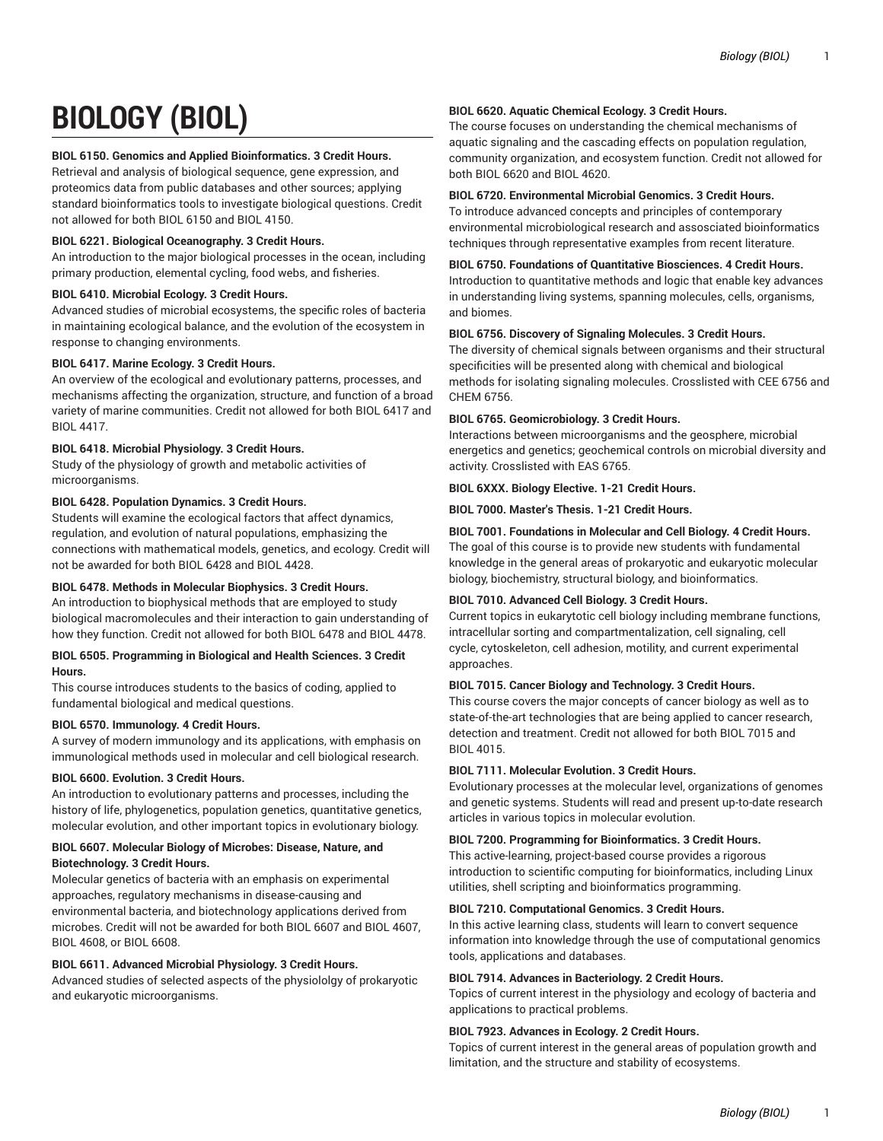# **BIOLOGY (BIOL)**

### **BIOL 6150. Genomics and Applied Bioinformatics. 3 Credit Hours.**

Retrieval and analysis of biological sequence, gene expression, and proteomics data from public databases and other sources; applying standard bioinformatics tools to investigate biological questions. Credit not allowed for both BIOL 6150 and BIOL 4150.

#### **BIOL 6221. Biological Oceanography. 3 Credit Hours.**

An introduction to the major biological processes in the ocean, including primary production, elemental cycling, food webs, and fisheries.

# **BIOL 6410. Microbial Ecology. 3 Credit Hours.**

Advanced studies of microbial ecosystems, the specific roles of bacteria in maintaining ecological balance, and the evolution of the ecosystem in response to changing environments.

#### **BIOL 6417. Marine Ecology. 3 Credit Hours.**

An overview of the ecological and evolutionary patterns, processes, and mechanisms affecting the organization, structure, and function of a broad variety of marine communities. Credit not allowed for both BIOL 6417 and BIOL 4417.

#### **BIOL 6418. Microbial Physiology. 3 Credit Hours.**

Study of the physiology of growth and metabolic activities of microorganisms.

#### **BIOL 6428. Population Dynamics. 3 Credit Hours.**

Students will examine the ecological factors that affect dynamics, regulation, and evolution of natural populations, emphasizing the connections with mathematical models, genetics, and ecology. Credit will not be awarded for both BIOL 6428 and BIOL 4428.

# **BIOL 6478. Methods in Molecular Biophysics. 3 Credit Hours.**

An introduction to biophysical methods that are employed to study biological macromolecules and their interaction to gain understanding of how they function. Credit not allowed for both BIOL 6478 and BIOL 4478.

#### **BIOL 6505. Programming in Biological and Health Sciences. 3 Credit Hours.**

This course introduces students to the basics of coding, applied to fundamental biological and medical questions.

#### **BIOL 6570. Immunology. 4 Credit Hours.**

A survey of modern immunology and its applications, with emphasis on immunological methods used in molecular and cell biological research.

#### **BIOL 6600. Evolution. 3 Credit Hours.**

An introduction to evolutionary patterns and processes, including the history of life, phylogenetics, population genetics, quantitative genetics, molecular evolution, and other important topics in evolutionary biology.

#### **BIOL 6607. Molecular Biology of Microbes: Disease, Nature, and Biotechnology. 3 Credit Hours.**

Molecular genetics of bacteria with an emphasis on experimental approaches, regulatory mechanisms in disease-causing and environmental bacteria, and biotechnology applications derived from microbes. Credit will not be awarded for both BIOL 6607 and BIOL 4607, BIOL 4608, or BIOL 6608.

# **BIOL 6611. Advanced Microbial Physiology. 3 Credit Hours.**

Advanced studies of selected aspects of the physiololgy of prokaryotic and eukaryotic microorganisms.

#### **BIOL 6620. Aquatic Chemical Ecology. 3 Credit Hours.**

The course focuses on understanding the chemical mechanisms of aquatic signaling and the cascading effects on population regulation, community organization, and ecosystem function. Credit not allowed for both BIOL 6620 and BIOL 4620.

# **BIOL 6720. Environmental Microbial Genomics. 3 Credit Hours.**

To introduce advanced concepts and principles of contemporary environmental microbiological research and assosciated bioinformatics techniques through representative examples from recent literature.

#### **BIOL 6750. Foundations of Quantitative Biosciences. 4 Credit Hours.**

Introduction to quantitative methods and logic that enable key advances in understanding living systems, spanning molecules, cells, organisms, and biomes.

#### **BIOL 6756. Discovery of Signaling Molecules. 3 Credit Hours.**

The diversity of chemical signals between organisms and their structural specificities will be presented along with chemical and biological methods for isolating signaling molecules. Crosslisted with CEE 6756 and CHEM 6756.

#### **BIOL 6765. Geomicrobiology. 3 Credit Hours.**

Interactions between microorganisms and the geosphere, microbial energetics and genetics; geochemical controls on microbial diversity and activity. Crosslisted with EAS 6765.

# **BIOL 6XXX. Biology Elective. 1-21 Credit Hours.**

**BIOL 7000. Master's Thesis. 1-21 Credit Hours.**

# **BIOL 7001. Foundations in Molecular and Cell Biology. 4 Credit Hours.**

The goal of this course is to provide new students with fundamental knowledge in the general areas of prokaryotic and eukaryotic molecular biology, biochemistry, structural biology, and bioinformatics.

#### **BIOL 7010. Advanced Cell Biology. 3 Credit Hours.**

Current topics in eukarytotic cell biology including membrane functions, intracellular sorting and compartmentalization, cell signaling, cell cycle, cytoskeleton, cell adhesion, motility, and current experimental approaches.

#### **BIOL 7015. Cancer Biology and Technology. 3 Credit Hours.**

This course covers the major concepts of cancer biology as well as to state-of-the-art technologies that are being applied to cancer research, detection and treatment. Credit not allowed for both BIOL 7015 and BIOL 4015.

# **BIOL 7111. Molecular Evolution. 3 Credit Hours.**

Evolutionary processes at the molecular level, organizations of genomes and genetic systems. Students will read and present up-to-date research articles in various topics in molecular evolution.

#### **BIOL 7200. Programming for Bioinformatics. 3 Credit Hours.**

This active-learning, project-based course provides a rigorous introduction to scientific computing for bioinformatics, including Linux utilities, shell scripting and bioinformatics programming.

#### **BIOL 7210. Computational Genomics. 3 Credit Hours.**

In this active learning class, students will learn to convert sequence information into knowledge through the use of computational genomics tools, applications and databases.

#### **BIOL 7914. Advances in Bacteriology. 2 Credit Hours.**

Topics of current interest in the physiology and ecology of bacteria and applications to practical problems.

#### **BIOL 7923. Advances in Ecology. 2 Credit Hours.**

Topics of current interest in the general areas of population growth and limitation, and the structure and stability of ecosystems.